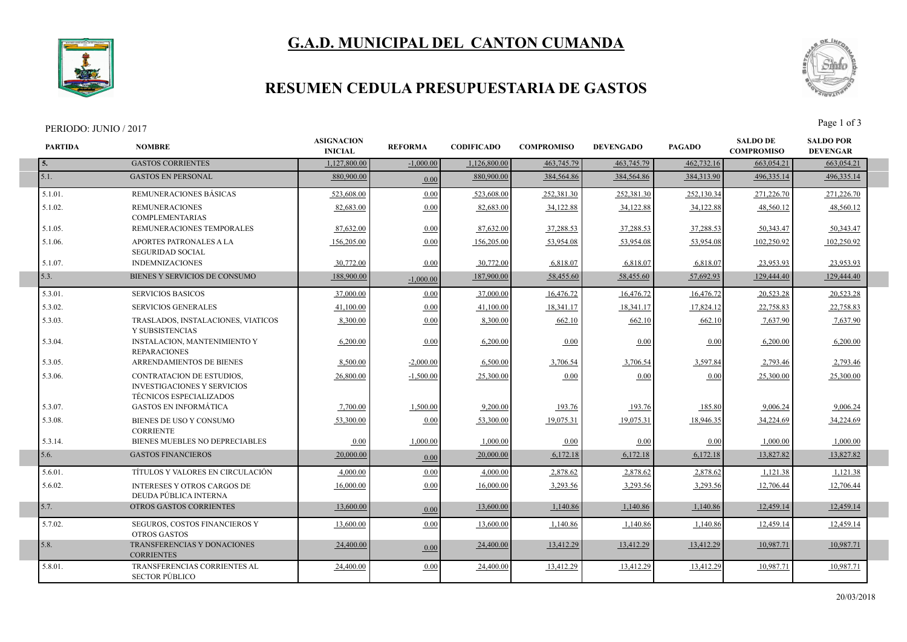# **G.A.D. MUNICIPAL DEL CANTON CUMANDA**



### **RESUMEN CEDULA PRESUPUESTARIA DE GASTOS**

#### PERIODO: JUNIO / 2017<br>Page 1 of 3



| <b>PARTIDA</b> | <b>NOMBRE</b>                                                                                     | <b>ASIGNACION</b><br><b>INICIAL</b> | <b>REFORMA</b> | <b>CODIFICADO</b> | <b>COMPROMISO</b> | <b>DEVENGADO</b> | <b>PAGADO</b> | <b>SALDO DE</b><br><b>COMPROMISO</b> | <b>SALDO POR</b><br><b>DEVENGAR</b> |  |
|----------------|---------------------------------------------------------------------------------------------------|-------------------------------------|----------------|-------------------|-------------------|------------------|---------------|--------------------------------------|-------------------------------------|--|
|                | <b>GASTOS CORRIENTES</b>                                                                          | 1.127.800.00                        | $-1,000.00$    | 1,126,800.00      | 463,745.79        | 463,745.79       | 462,732.16    | 663,054.21                           | 663,054.21                          |  |
| 5.1.           | <b>GASTOS EN PERSONAL</b>                                                                         | 880,900.00                          | 0.00           | 880,900.00        | 384,564.86        | 384,564.86       | 384,313.90    | 496, 335.14                          | 496,335.14                          |  |
| $5.1.01$ .     | REMUNERACIONES BÁSICAS                                                                            | 523,608.00                          | 0.00           | 523,608.00        | 252,381.30        | 252,381.30       | 252,130.34    | 271,226.70                           | 271,226.70                          |  |
| 5.1.02.        | <b>REMUNERACIONES</b><br><b>COMPLEMENTARIAS</b>                                                   | 82,683.00                           | 0.00           | 82,683.00         | 34,122.88         | 34,122.88        | 34,122.88     | 48,560.12                            | 48,560.12                           |  |
| 5.1.05.        | REMUNERACIONES TEMPORALES                                                                         | 87,632.00                           | 0.00           | 87,632.00         | 37,288.53         | 37,288.53        | 37,288.53     | 50,343.47                            | 50,343.47                           |  |
| 5.1.06.        | APORTES PATRONALES A LA<br><b>SEGURIDAD SOCIAL</b>                                                | 156,205.00                          | 0.00           | 156,205.00        | 53,954.08         | 53,954.08        | 53,954.08     | 102,250.92                           | 102,250.92                          |  |
| 5.1.07.        | <b>INDEMNIZACIONES</b>                                                                            | 30,772.00                           | 0.00           | 30,772.00         | 6,818.07          | 6,818.07         | 6,818.07      | 23,953.93                            | 23,953.93                           |  |
| 5.3.           | BIENES Y SERVICIOS DE CONSUMO                                                                     | 188,900.00                          | $-1,000.00$    | 187,900.00        | 58,455.60         | 58,455.60        | 57,692.93     | 129,444.40                           | 129,444.40                          |  |
| 5.3.01.        | <b>SERVICIOS BASICOS</b>                                                                          | 37,000.00                           | 0.00           | 37,000.00         | 16,476.72         | 16,476.72        | 16,476.72     | 20,523.28                            | 20,523.28                           |  |
| 5.3.02.        | <b>SERVICIOS GENERALES</b>                                                                        | 41.100.00                           | 0.00           | 41.100.00         | 18,341.17         | 18,341.17        | 17,824.12     | 22,758.83                            | 22,758.83                           |  |
| 5.3.03.        | TRASLADOS, INSTALACIONES, VIATICOS<br>Y SUBSISTENCIAS                                             | 8.300.00                            | 0.00           | 8.300.00          | 662.10            | 662.10           | 662.10        | 7,637.90                             | 7,637.90                            |  |
| 5.3.04.        | INSTALACION, MANTENIMIENTO Y<br><b>REPARACIONES</b>                                               | 6,200.00                            | 0.00           | 6,200.00          | 0.00              | 0.00             | 0.00          | 6,200.00                             | 6,200.00                            |  |
| 5.3.05.        | ARRENDAMIENTOS DE BIENES                                                                          | 8,500.00                            | $-2,000.00$    | 6,500.00          | 3,706.54          | 3,706.54         | 3,597.84      | 2,793.46                             | 2,793.46                            |  |
| 5.3.06.        | <b>CONTRATACION DE ESTUDIOS,</b><br><b>INVESTIGACIONES Y SERVICIOS</b><br>TÉCNICOS ESPECIALIZADOS | 26,800.00                           | $-1,500.00$    | 25,300.00         | 0.00              | 0.00             | 0.00          | 25,300.00                            | 25,300.00                           |  |
| 5.3.07.        | <b>GASTOS EN INFORMÁTICA</b>                                                                      | 7.700.00                            | 1,500.00       | 9,200.00          | 193.76            | 193.76           | 185.80        | 9,006.24                             | 9,006.24                            |  |
| 5.3.08.        | BIENES DE USO Y CONSUMO<br><b>CORRIENTE</b>                                                       | 53,300.00                           | 0.00           | 53,300.00         | 19,075.31         | 19,075.31        | 18,946.35     | 34,224.69                            | 34,224.69                           |  |
| 5.3.14.        | BIENES MUEBLES NO DEPRECIABLES                                                                    | 0.00                                | 1,000.00       | 1.000.00          | 0.00              | 0.00             | 0.00          | 1.000.00                             | 1,000.00                            |  |
| 5.6.           | <b>GASTOS FINANCIEROS</b>                                                                         | 20,000.00                           | 0.00           | 20,000.00         | 6,172.18          | 6,172.18         | 6,172.18      | 13,827.82                            | 13,827.82                           |  |
| 5.6.01.        | TÍTULOS Y VALORES EN CIRCULACIÓN                                                                  | 4,000.00                            | 0.00           | 4,000.00          | 2,878.62          | 2,878.62         | 2,878.62      | 1,121.38                             | 1,121.38                            |  |
| 5.6.02.        | <b>INTERESES Y OTROS CARGOS DE</b><br>DEUDA PÚBLICA INTERNA                                       | 16,000.00                           | 0.00           | 16,000.00         | 3,293.56          | 3,293.56         | 3,293.56      | 12,706.44                            | 12,706.44                           |  |
| 5.7.           | <b>OTROS GASTOS CORRIENTES</b>                                                                    | 13,600.00                           | 0.00           | 13,600.00         | 1,140.86          | 1,140.86         | 1,140.86      | 12,459.14                            | 12,459.14                           |  |
| 5.7.02.        | SEGUROS, COSTOS FINANCIEROS Y<br><b>OTROS GASTOS</b>                                              | 13,600.00                           | 0.00           | 13,600.00         | 1,140.86          | 1,140.86         | 1,140.86      | 12,459.14                            | 12,459.14                           |  |
| 5.8.           | TRANSFERENCIAS Y DONACIONES<br><b>CORRIENTES</b>                                                  | 24,400.00                           | 0.00           | 24,400.00         | 13,412.29         | 13,412.29        | 13,412.29     | 10,987.71                            | 10,987.71                           |  |
| 5.8.01.        | TRANSFERENCIAS CORRIENTES AL<br><b>SECTOR PÚBLICO</b>                                             | 24,400.00                           | 0.00           | 24,400.00         | 13,412.29         | 13,412.29        | 13,412.29     | 10,987.71                            | 10,987.71                           |  |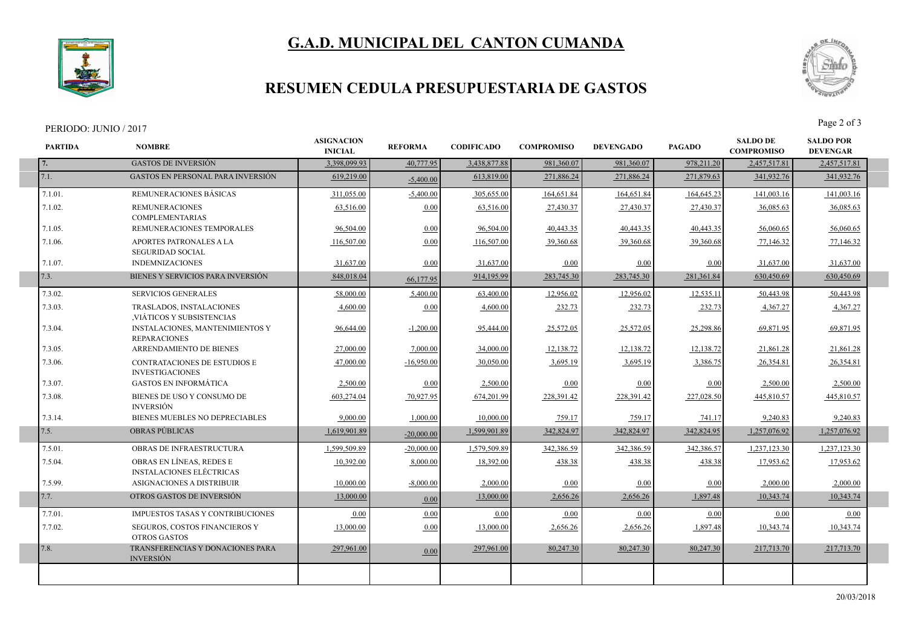



## **RESUMEN CEDULA PRESUPUESTARIA DE GASTOS**

#### PERIODO: JUNIO / 2017<br>Page 2 of 3

I

I



| <b>GASTOS DE INVERSIÓN</b><br>3,398,099.93<br>40,777.95<br>3,438,877.88<br>981,360.07<br>981,360.07<br>978,211.20<br>2,457,517.81<br>7.<br>7.1.<br><b>GASTOS EN PERSONAL PARA INVERSIÓN</b><br>619,219.00<br>613,819.00<br>271,886.24<br>271,886.24<br>271,879.63<br>341,932.76<br>$-5,400.00$<br>7.1.01.<br>REMUNERACIONES BÁSICAS<br>311,055.00<br>$-5,400.00$<br>305,655.00<br>164,651.84<br>164,645.23<br>164,651.84<br>141,003.16<br>7.1.02.<br><b>REMUNERACIONES</b><br>63,516.00<br>63,516.00<br>27,430.37<br>27,430.37<br>27,430.37<br>36,085.63<br>0.00<br><b>COMPLEMENTARIAS</b><br>7.1.05.<br>0.00<br>96,504.00<br>40,443.35<br>40,443.35<br>40,443.35<br>REMUNERACIONES TEMPORALES<br>96,504.00<br>56,060.65<br>7.1.06.<br>APORTES PATRONALES A LA<br>116,507.00<br>0.00<br>116,507.00<br>39,360.68<br>39,360.68<br>39,360.68<br>77,146.32<br><b>SEGURIDAD SOCIAL</b><br>7.1.07.<br><b>INDEMNIZACIONES</b><br>31,637.00<br>31,637.00<br>0.00<br>0.00<br>0.00<br>0.00<br>31,637.00<br>7.3.<br>BIENES Y SERVICIOS PARA INVERSIÓN<br>848,018.04<br>914,195.99<br>283,745.30<br>283,745.30<br>281,361.84<br>630,450.69<br>66,177.95<br>7.3.02.<br><b>SERVICIOS GENERALES</b><br>58,000.00<br>5.400.00<br>63,400.00<br>12.956.02<br>12,956.02<br>12,535.11<br>50.443.98<br>7.3.03.<br>4,600.00<br>232.73<br>232.73<br>TRASLADOS, INSTALACIONES<br>4,600.00<br>0.00<br>232.73<br>4,367.27<br>VIÁTICOS Y SUBSISTENCIAS<br>7.3.04.<br>25,572.05<br>25,572.05<br><b>INSTALACIONES, MANTENIMIENTOS Y</b><br>96,644.00<br>$-1,200.00$<br>95,444.00<br>25,298.86<br>69,871.95<br><b>REPARACIONES</b><br>7.3.05.<br>ARRENDAMIENTO DE BIENES<br>27,000.00<br>7,000.00<br>34,000.00<br>12,138.72<br>12,138.72<br>12,138.72<br>21,861.28<br>7.3.06.<br><b>CONTRATACIONES DE ESTUDIOS E</b><br>47,000.00<br>$-16.950.00$<br>30.050.00<br>3,695.19<br>3,695.19<br>3,386.75<br>26.354.81<br><b>INVESTIGACIONES</b><br>7.3.07.<br><b>GASTOS EN INFORMÁTICA</b><br>2,500.00<br>2,500.00<br>0.00<br>0.00<br>0.00<br>0.00<br>2,500.00<br>7.3.08.<br>BIENES DE USO Y CONSUMO DE<br>603,274.04<br>70,927.95<br>674,201.99<br>228,391.42<br>228,391.42<br>227,028.50<br>445,810.57<br><b>INVERSIÓN</b><br>7.3.14.<br>BIENES MUEBLES NO DEPRECIABLES<br>9,000.00<br>1,000.00<br>10,000.00<br>759.17<br>759.17<br>741.17<br>9,240.83<br>7.5.<br><b>OBRAS PÚBLICAS</b><br>1,619,901.89<br>1,599,901.89<br>342,824.97<br>342,824.97<br>342,824.95<br>1,257,076.92<br>$-20.000.00$<br>7.5.01.<br>1.599.509.89<br>1.579.509.89<br>342,386.59<br>OBRAS DE INFRAESTRUCTURA<br>$-20,000,00$<br>342.386.59<br>342.386.57<br>1.237.123.30<br>OBRAS EN LÍNEAS. REDES E<br>7.5.04.<br>438.38<br>10.392.00<br>8.000.00<br>18,392.00<br>438.38<br>438.38<br>17,953.62<br><b>INSTALACIONES ELÉCTRICAS</b><br>7.5.99.<br>ASIGNACIONES A DISTRIBUIR<br>10.000.00<br>$-8,000.00$<br>2,000.00<br>0.00<br>0.00<br>0.00<br>2,000.00<br>7.7.<br>OTROS GASTOS DE INVERSIÓN<br>13,000.00<br>13,000.00<br>2,656.26<br>2,656.26<br>1,897.48<br>10.343.74<br>0.00<br>7.7.01.<br><b>IMPUESTOS TASAS Y CONTRIBUCIONES</b><br>0.00<br>0.00<br>0.00<br>0.00<br>0.00<br>0.00<br>0.00<br>7.7.02.<br>SEGUROS, COSTOS FINANCIEROS Y<br>0.00<br>2,656.26<br>2,656.26<br>13,000.00<br>13,000.00<br>1,897.48<br>10,343.74<br><b>OTROS GASTOS</b><br>7.8.<br>TRANSFERENCIAS Y DONACIONES PARA<br>297,961.00<br>297,961.00<br>80,247.30<br>80,247.30<br>80,247.30<br>217,713.70 | <b>PARTIDA</b> | <b>NOMBRE</b> | <b>ASIGNACION</b><br><b>INICIAL</b> | <b>REFORMA</b> | <b>CODIFICADO</b> | <b>COMPROMISO</b> | <b>DEVENGADO</b> | <b>PAGADO</b> | <b>SALDO DE</b><br><b>COMPROMISO</b> | <b>SALDO POR</b><br><b>DEVENGAR</b> |
|--------------------------------------------------------------------------------------------------------------------------------------------------------------------------------------------------------------------------------------------------------------------------------------------------------------------------------------------------------------------------------------------------------------------------------------------------------------------------------------------------------------------------------------------------------------------------------------------------------------------------------------------------------------------------------------------------------------------------------------------------------------------------------------------------------------------------------------------------------------------------------------------------------------------------------------------------------------------------------------------------------------------------------------------------------------------------------------------------------------------------------------------------------------------------------------------------------------------------------------------------------------------------------------------------------------------------------------------------------------------------------------------------------------------------------------------------------------------------------------------------------------------------------------------------------------------------------------------------------------------------------------------------------------------------------------------------------------------------------------------------------------------------------------------------------------------------------------------------------------------------------------------------------------------------------------------------------------------------------------------------------------------------------------------------------------------------------------------------------------------------------------------------------------------------------------------------------------------------------------------------------------------------------------------------------------------------------------------------------------------------------------------------------------------------------------------------------------------------------------------------------------------------------------------------------------------------------------------------------------------------------------------------------------------------------------------------------------------------------------------------------------------------------------------------------------------------------------------------------------------------------------------------------------------------------------------------------------------------------------------------------------------------------------------------------------------------------------------------------------------------------------------------------------------------------------------------------------------------------------------------------------------------------------------------------------------------------------------------------------------------------------------------------------------------|----------------|---------------|-------------------------------------|----------------|-------------------|-------------------|------------------|---------------|--------------------------------------|-------------------------------------|
|                                                                                                                                                                                                                                                                                                                                                                                                                                                                                                                                                                                                                                                                                                                                                                                                                                                                                                                                                                                                                                                                                                                                                                                                                                                                                                                                                                                                                                                                                                                                                                                                                                                                                                                                                                                                                                                                                                                                                                                                                                                                                                                                                                                                                                                                                                                                                                                                                                                                                                                                                                                                                                                                                                                                                                                                                                                                                                                                                                                                                                                                                                                                                                                                                                                                                                                                                                                                                          |                |               |                                     |                |                   |                   |                  |               |                                      | 2,457,517.81                        |
|                                                                                                                                                                                                                                                                                                                                                                                                                                                                                                                                                                                                                                                                                                                                                                                                                                                                                                                                                                                                                                                                                                                                                                                                                                                                                                                                                                                                                                                                                                                                                                                                                                                                                                                                                                                                                                                                                                                                                                                                                                                                                                                                                                                                                                                                                                                                                                                                                                                                                                                                                                                                                                                                                                                                                                                                                                                                                                                                                                                                                                                                                                                                                                                                                                                                                                                                                                                                                          |                |               |                                     |                |                   |                   |                  |               |                                      | 341,932.76                          |
|                                                                                                                                                                                                                                                                                                                                                                                                                                                                                                                                                                                                                                                                                                                                                                                                                                                                                                                                                                                                                                                                                                                                                                                                                                                                                                                                                                                                                                                                                                                                                                                                                                                                                                                                                                                                                                                                                                                                                                                                                                                                                                                                                                                                                                                                                                                                                                                                                                                                                                                                                                                                                                                                                                                                                                                                                                                                                                                                                                                                                                                                                                                                                                                                                                                                                                                                                                                                                          |                |               |                                     |                |                   |                   |                  |               |                                      | 141,003.16                          |
|                                                                                                                                                                                                                                                                                                                                                                                                                                                                                                                                                                                                                                                                                                                                                                                                                                                                                                                                                                                                                                                                                                                                                                                                                                                                                                                                                                                                                                                                                                                                                                                                                                                                                                                                                                                                                                                                                                                                                                                                                                                                                                                                                                                                                                                                                                                                                                                                                                                                                                                                                                                                                                                                                                                                                                                                                                                                                                                                                                                                                                                                                                                                                                                                                                                                                                                                                                                                                          |                |               |                                     |                |                   |                   |                  |               |                                      | 36,085.63                           |
|                                                                                                                                                                                                                                                                                                                                                                                                                                                                                                                                                                                                                                                                                                                                                                                                                                                                                                                                                                                                                                                                                                                                                                                                                                                                                                                                                                                                                                                                                                                                                                                                                                                                                                                                                                                                                                                                                                                                                                                                                                                                                                                                                                                                                                                                                                                                                                                                                                                                                                                                                                                                                                                                                                                                                                                                                                                                                                                                                                                                                                                                                                                                                                                                                                                                                                                                                                                                                          |                |               |                                     |                |                   |                   |                  |               |                                      | 56,060.65                           |
|                                                                                                                                                                                                                                                                                                                                                                                                                                                                                                                                                                                                                                                                                                                                                                                                                                                                                                                                                                                                                                                                                                                                                                                                                                                                                                                                                                                                                                                                                                                                                                                                                                                                                                                                                                                                                                                                                                                                                                                                                                                                                                                                                                                                                                                                                                                                                                                                                                                                                                                                                                                                                                                                                                                                                                                                                                                                                                                                                                                                                                                                                                                                                                                                                                                                                                                                                                                                                          |                |               |                                     |                |                   |                   |                  |               |                                      | 77,146.32                           |
|                                                                                                                                                                                                                                                                                                                                                                                                                                                                                                                                                                                                                                                                                                                                                                                                                                                                                                                                                                                                                                                                                                                                                                                                                                                                                                                                                                                                                                                                                                                                                                                                                                                                                                                                                                                                                                                                                                                                                                                                                                                                                                                                                                                                                                                                                                                                                                                                                                                                                                                                                                                                                                                                                                                                                                                                                                                                                                                                                                                                                                                                                                                                                                                                                                                                                                                                                                                                                          |                |               |                                     |                |                   |                   |                  |               |                                      | 31,637.00                           |
|                                                                                                                                                                                                                                                                                                                                                                                                                                                                                                                                                                                                                                                                                                                                                                                                                                                                                                                                                                                                                                                                                                                                                                                                                                                                                                                                                                                                                                                                                                                                                                                                                                                                                                                                                                                                                                                                                                                                                                                                                                                                                                                                                                                                                                                                                                                                                                                                                                                                                                                                                                                                                                                                                                                                                                                                                                                                                                                                                                                                                                                                                                                                                                                                                                                                                                                                                                                                                          |                |               |                                     |                |                   |                   |                  |               |                                      | 630,450.69                          |
|                                                                                                                                                                                                                                                                                                                                                                                                                                                                                                                                                                                                                                                                                                                                                                                                                                                                                                                                                                                                                                                                                                                                                                                                                                                                                                                                                                                                                                                                                                                                                                                                                                                                                                                                                                                                                                                                                                                                                                                                                                                                                                                                                                                                                                                                                                                                                                                                                                                                                                                                                                                                                                                                                                                                                                                                                                                                                                                                                                                                                                                                                                                                                                                                                                                                                                                                                                                                                          |                |               |                                     |                |                   |                   |                  |               |                                      | 50.443.98                           |
|                                                                                                                                                                                                                                                                                                                                                                                                                                                                                                                                                                                                                                                                                                                                                                                                                                                                                                                                                                                                                                                                                                                                                                                                                                                                                                                                                                                                                                                                                                                                                                                                                                                                                                                                                                                                                                                                                                                                                                                                                                                                                                                                                                                                                                                                                                                                                                                                                                                                                                                                                                                                                                                                                                                                                                                                                                                                                                                                                                                                                                                                                                                                                                                                                                                                                                                                                                                                                          |                |               |                                     |                |                   |                   |                  |               |                                      | 4,367.27                            |
|                                                                                                                                                                                                                                                                                                                                                                                                                                                                                                                                                                                                                                                                                                                                                                                                                                                                                                                                                                                                                                                                                                                                                                                                                                                                                                                                                                                                                                                                                                                                                                                                                                                                                                                                                                                                                                                                                                                                                                                                                                                                                                                                                                                                                                                                                                                                                                                                                                                                                                                                                                                                                                                                                                                                                                                                                                                                                                                                                                                                                                                                                                                                                                                                                                                                                                                                                                                                                          |                |               |                                     |                |                   |                   |                  |               |                                      | 69,871.95                           |
|                                                                                                                                                                                                                                                                                                                                                                                                                                                                                                                                                                                                                                                                                                                                                                                                                                                                                                                                                                                                                                                                                                                                                                                                                                                                                                                                                                                                                                                                                                                                                                                                                                                                                                                                                                                                                                                                                                                                                                                                                                                                                                                                                                                                                                                                                                                                                                                                                                                                                                                                                                                                                                                                                                                                                                                                                                                                                                                                                                                                                                                                                                                                                                                                                                                                                                                                                                                                                          |                |               |                                     |                |                   |                   |                  |               |                                      | 21,861.28                           |
|                                                                                                                                                                                                                                                                                                                                                                                                                                                                                                                                                                                                                                                                                                                                                                                                                                                                                                                                                                                                                                                                                                                                                                                                                                                                                                                                                                                                                                                                                                                                                                                                                                                                                                                                                                                                                                                                                                                                                                                                                                                                                                                                                                                                                                                                                                                                                                                                                                                                                                                                                                                                                                                                                                                                                                                                                                                                                                                                                                                                                                                                                                                                                                                                                                                                                                                                                                                                                          |                |               |                                     |                |                   |                   |                  |               |                                      | 26.354.81                           |
|                                                                                                                                                                                                                                                                                                                                                                                                                                                                                                                                                                                                                                                                                                                                                                                                                                                                                                                                                                                                                                                                                                                                                                                                                                                                                                                                                                                                                                                                                                                                                                                                                                                                                                                                                                                                                                                                                                                                                                                                                                                                                                                                                                                                                                                                                                                                                                                                                                                                                                                                                                                                                                                                                                                                                                                                                                                                                                                                                                                                                                                                                                                                                                                                                                                                                                                                                                                                                          |                |               |                                     |                |                   |                   |                  |               |                                      | 2,500.00                            |
|                                                                                                                                                                                                                                                                                                                                                                                                                                                                                                                                                                                                                                                                                                                                                                                                                                                                                                                                                                                                                                                                                                                                                                                                                                                                                                                                                                                                                                                                                                                                                                                                                                                                                                                                                                                                                                                                                                                                                                                                                                                                                                                                                                                                                                                                                                                                                                                                                                                                                                                                                                                                                                                                                                                                                                                                                                                                                                                                                                                                                                                                                                                                                                                                                                                                                                                                                                                                                          |                |               |                                     |                |                   |                   |                  |               |                                      | 445,810.57                          |
|                                                                                                                                                                                                                                                                                                                                                                                                                                                                                                                                                                                                                                                                                                                                                                                                                                                                                                                                                                                                                                                                                                                                                                                                                                                                                                                                                                                                                                                                                                                                                                                                                                                                                                                                                                                                                                                                                                                                                                                                                                                                                                                                                                                                                                                                                                                                                                                                                                                                                                                                                                                                                                                                                                                                                                                                                                                                                                                                                                                                                                                                                                                                                                                                                                                                                                                                                                                                                          |                |               |                                     |                |                   |                   |                  |               |                                      | 9,240.83                            |
|                                                                                                                                                                                                                                                                                                                                                                                                                                                                                                                                                                                                                                                                                                                                                                                                                                                                                                                                                                                                                                                                                                                                                                                                                                                                                                                                                                                                                                                                                                                                                                                                                                                                                                                                                                                                                                                                                                                                                                                                                                                                                                                                                                                                                                                                                                                                                                                                                                                                                                                                                                                                                                                                                                                                                                                                                                                                                                                                                                                                                                                                                                                                                                                                                                                                                                                                                                                                                          |                |               |                                     |                |                   |                   |                  |               |                                      | 1,257,076.92                        |
|                                                                                                                                                                                                                                                                                                                                                                                                                                                                                                                                                                                                                                                                                                                                                                                                                                                                                                                                                                                                                                                                                                                                                                                                                                                                                                                                                                                                                                                                                                                                                                                                                                                                                                                                                                                                                                                                                                                                                                                                                                                                                                                                                                                                                                                                                                                                                                                                                                                                                                                                                                                                                                                                                                                                                                                                                                                                                                                                                                                                                                                                                                                                                                                                                                                                                                                                                                                                                          |                |               |                                     |                |                   |                   |                  |               |                                      | 1,237,123.30                        |
|                                                                                                                                                                                                                                                                                                                                                                                                                                                                                                                                                                                                                                                                                                                                                                                                                                                                                                                                                                                                                                                                                                                                                                                                                                                                                                                                                                                                                                                                                                                                                                                                                                                                                                                                                                                                                                                                                                                                                                                                                                                                                                                                                                                                                                                                                                                                                                                                                                                                                                                                                                                                                                                                                                                                                                                                                                                                                                                                                                                                                                                                                                                                                                                                                                                                                                                                                                                                                          |                |               |                                     |                |                   |                   |                  |               |                                      | 17,953.62                           |
|                                                                                                                                                                                                                                                                                                                                                                                                                                                                                                                                                                                                                                                                                                                                                                                                                                                                                                                                                                                                                                                                                                                                                                                                                                                                                                                                                                                                                                                                                                                                                                                                                                                                                                                                                                                                                                                                                                                                                                                                                                                                                                                                                                                                                                                                                                                                                                                                                                                                                                                                                                                                                                                                                                                                                                                                                                                                                                                                                                                                                                                                                                                                                                                                                                                                                                                                                                                                                          |                |               |                                     |                |                   |                   |                  |               |                                      | 2,000.00                            |
|                                                                                                                                                                                                                                                                                                                                                                                                                                                                                                                                                                                                                                                                                                                                                                                                                                                                                                                                                                                                                                                                                                                                                                                                                                                                                                                                                                                                                                                                                                                                                                                                                                                                                                                                                                                                                                                                                                                                                                                                                                                                                                                                                                                                                                                                                                                                                                                                                                                                                                                                                                                                                                                                                                                                                                                                                                                                                                                                                                                                                                                                                                                                                                                                                                                                                                                                                                                                                          |                |               |                                     |                |                   |                   |                  |               |                                      | 10.343.74                           |
|                                                                                                                                                                                                                                                                                                                                                                                                                                                                                                                                                                                                                                                                                                                                                                                                                                                                                                                                                                                                                                                                                                                                                                                                                                                                                                                                                                                                                                                                                                                                                                                                                                                                                                                                                                                                                                                                                                                                                                                                                                                                                                                                                                                                                                                                                                                                                                                                                                                                                                                                                                                                                                                                                                                                                                                                                                                                                                                                                                                                                                                                                                                                                                                                                                                                                                                                                                                                                          |                |               |                                     |                |                   |                   |                  |               |                                      | 0.00                                |
|                                                                                                                                                                                                                                                                                                                                                                                                                                                                                                                                                                                                                                                                                                                                                                                                                                                                                                                                                                                                                                                                                                                                                                                                                                                                                                                                                                                                                                                                                                                                                                                                                                                                                                                                                                                                                                                                                                                                                                                                                                                                                                                                                                                                                                                                                                                                                                                                                                                                                                                                                                                                                                                                                                                                                                                                                                                                                                                                                                                                                                                                                                                                                                                                                                                                                                                                                                                                                          |                |               |                                     |                |                   |                   |                  |               |                                      | 10,343.74                           |
| <b>INVERSIÓN</b>                                                                                                                                                                                                                                                                                                                                                                                                                                                                                                                                                                                                                                                                                                                                                                                                                                                                                                                                                                                                                                                                                                                                                                                                                                                                                                                                                                                                                                                                                                                                                                                                                                                                                                                                                                                                                                                                                                                                                                                                                                                                                                                                                                                                                                                                                                                                                                                                                                                                                                                                                                                                                                                                                                                                                                                                                                                                                                                                                                                                                                                                                                                                                                                                                                                                                                                                                                                                         |                |               |                                     | 0.00           |                   |                   |                  |               |                                      | 217,713.70                          |